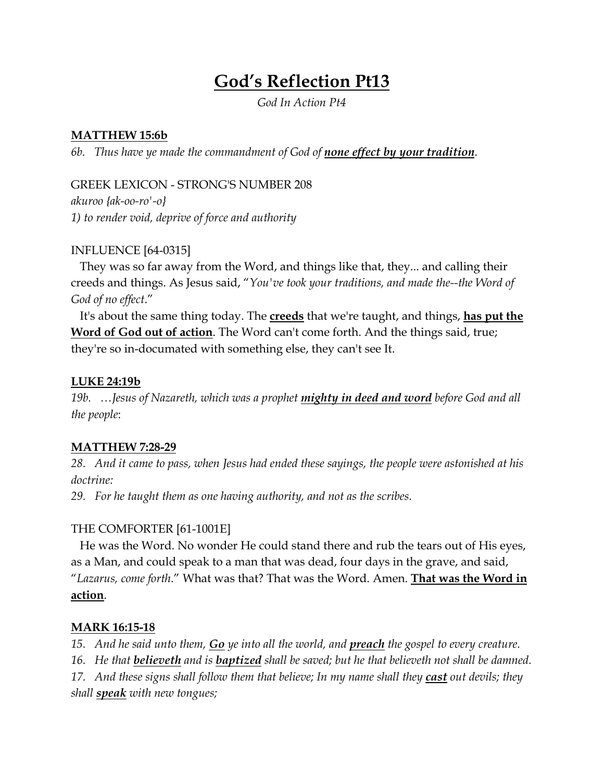# **God's Reflection Pt13**

*God In Action Pt4*

## **MATTHEW 15:6b**

*6b. Thus have ye made the commandment of God of none effect by your tradition*.

GREEK LEXICON - STRONG'S NUMBER 208 *akuroo {ak-oo-ro'-o} 1) to render void, deprive of force and authority*

# INFLUENCE [64-0315]

 They was so far away from the Word, and things like that, they... and calling their creeds and things. As Jesus said, "*You've took your traditions, and made the--the Word of God of no effect*."

 It's about the same thing today. The **creeds** that we're taught, and things, **has put the Word of God out of action**. The Word can't come forth. And the things said, true; they're so in-documated with something else, they can't see It.

## **LUKE 24:19b**

*19b. …Jesus of Nazareth, which was a prophet mighty in deed and word before God and all the people*:

# **MATTHEW 7:28-29**

*28. And it came to pass, when Jesus had ended these sayings, the people were astonished at his doctrine:*

*29. For he taught them as one having authority, and not as the scribes.*

# THE COMFORTER [61-1001E]

 He was the Word. No wonder He could stand there and rub the tears out of His eyes, as a Man, and could speak to a man that was dead, four days in the grave, and said, "*Lazarus, come forth*." What was that? That was the Word. Amen. **That was the Word in action**.

# **MARK 16:15-18**

*15. And he said unto them, Go ye into all the world, and preach the gospel to every creature.*

*16. He that believeth and is baptized shall be saved; but he that believeth not shall be damned.*

*17. And these signs shall follow them that believe; In my name shall they cast out devils; they shall speak with new tongues;*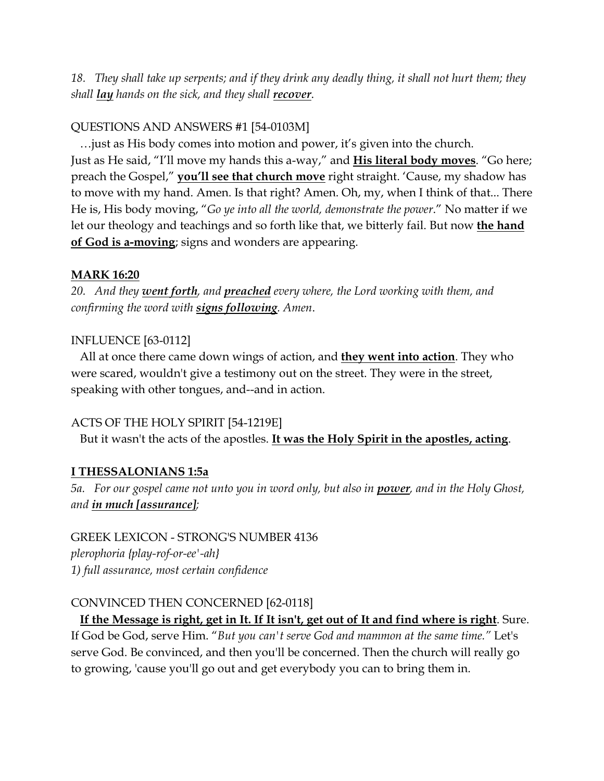*18. They shall take up serpents; and if they drink any deadly thing, it shall not hurt them; they shall lay hands on the sick, and they shall recover*.

## QUESTIONS AND ANSWERS #1 [54-0103M]

 …just as His body comes into motion and power, it's given into the church. Just as He said, "I'll move my hands this a-way," and **His literal body moves**. "Go here; preach the Gospel," **you'll see that church move** right straight. 'Cause, my shadow has to move with my hand. Amen. Is that right? Amen. Oh, my, when I think of that... There He is, His body moving, "*Go ye into all the world, demonstrate the power*." No matter if we let our theology and teachings and so forth like that, we bitterly fail. But now **the hand of God is a-moving**; signs and wonders are appearing.

#### **MARK 16:20**

*20. And they went forth, and preached every where, the Lord working with them, and confirming the word with signs following. Amen*.

#### INFLUENCE [63-0112]

 All at once there came down wings of action, and **they went into action**. They who were scared, wouldn't give a testimony out on the street. They were in the street, speaking with other tongues, and--and in action.

#### ACTS OF THE HOLY SPIRIT [54-1219E]

But it wasn't the acts of the apostles. **It was the Holy Spirit in the apostles, acting**.

# **I THESSALONIANS 1:5a**

*5a. For our gospel came not unto you in word only, but also in power, and in the Holy Ghost, and in much [assurance];*

GREEK LEXICON - STRONG'S NUMBER 4136 *plerophoria {play-rof-or-ee'-ah} 1) full assurance, most certain confidence*

#### CONVINCED THEN CONCERNED [62-0118]

 **If the Message is right, get in It. If It isn't, get out of It and find where is right**. Sure. If God be God, serve Him. "*But you can't serve God and mammon at the same time."* Let's serve God. Be convinced, and then you'll be concerned. Then the church will really go to growing, 'cause you'll go out and get everybody you can to bring them in.